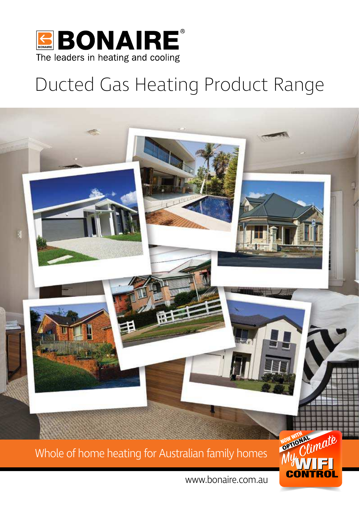

### Ducted Gas Heating Product Range

 $\vert$ **NOW WORKS** Whole of home heating for Australian family homes

www.bonaire.com.au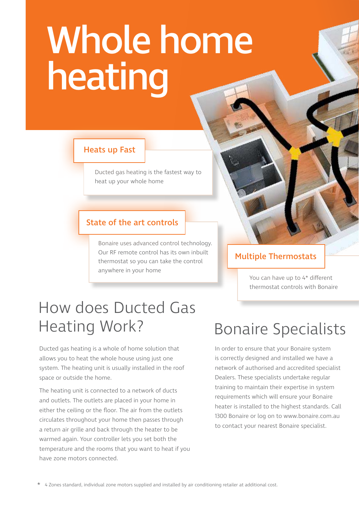# Whole home heating

#### Heats up Fast

Ducted gas heating is the fastest way to heat up your whole home

#### State of the art controls

Bonaire uses advanced control technology. Our RF remote control has its own inbuilt thermostat so you can take the control anywhere in your home

#### Multiple Thermostats

You can have up to 4\* different thermostat controls with Bonaire

### How does Ducted Gas Heating Work?

Ducted gas heating is a whole of home solution that allows you to heat the whole house using just one system. The heating unit is usually installed in the roof space or outside the home.

The heating unit is connected to a network of ducts and outlets. The outlets are placed in your home in either the ceiling or the floor. The air from the outlets circulates throughout your home then passes through a return air grille and back through the heater to be warmed again. Your controller lets you set both the temperature and the rooms that you want to heat if you have zone motors connected.

### Bonaire Specialists

In order to ensure that your Bonaire system is correctly designed and installed we have a network of authorised and accredited specialist Dealers. These specialists undertake regular training to maintain their expertise in system requirements which will ensure your Bonaire heater is installed to the highest standards. Call 1300 Bonaire or log on to www.bonaire.com.au to contact your nearest Bonaire specialist.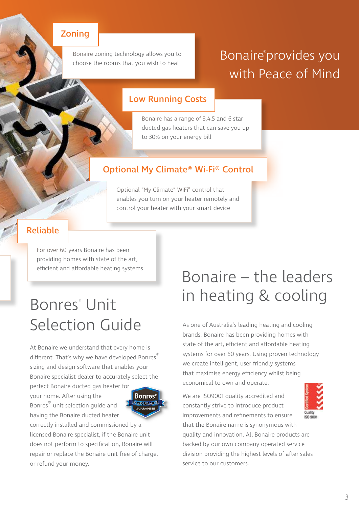#### Zoning

Bonaire zoning technology allows you to choose the rooms that you wish to heat

### Bonaire®provides you with Peace of Mind

#### Low Running Costs

Bonaire has a range of 3,4,5 and 6 star ducted gas heaters that can save you up to 30% on your energy bill

#### Optional My Climate® Wi-Fi® Control

Optional "My Climate" WiFi® control that enables you turn on your heater remotely and control your heater with your smart device

#### Reliable

For over 60 years Bonaire has been providing homes with state of the art, efficient and affordable heating systems

### Bonres<sup>®</sup> Unit Selection Guide

At Bonaire we understand that every home is different. That's why we have developed Bonres sizing and design software that enables your Bonaire specialist dealer to accurately select the

perfect Bonaire ducted gas heater for your home. After using the Bonres® unit selection guide and having the Bonaire ducted heater



correctly installed and commissioned by a licensed Bonaire specialist, if the Bonaire unit does not perform to specification, Bonaire will repair or replace the Bonaire unit free of charge, or refund your money.

### Bonaire – the leaders in heating & cooling

As one of Australia's leading heating and cooling brands, Bonaire has been providing homes with state of the art, efficient and affordable heating systems for over 60 years. Using proven technology we create intelligent, user friendly systems that maximise energy efficiency whilst being economical to own and operate.

We are ISO9001 quality accredited and constantly strive to introduce product improvements and refinements to ensure that the Bonaire name is synonymous with quality and innovation. All Bonaire products are backed by our own company operated service division providing the highest levels of after sales service to our customers.

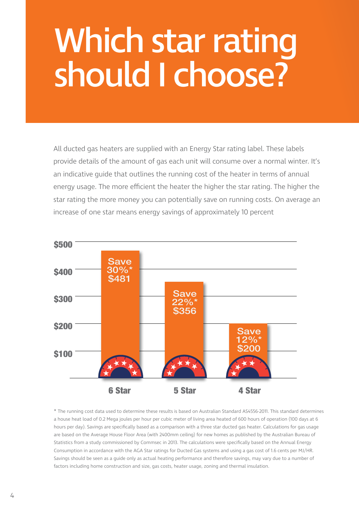# Which star rating should I choose?

All ducted gas heaters are supplied with an Energy Star rating label. These labels provide details of the amount of gas each unit will consume over a normal winter. It's an indicative guide that outlines the running cost of the heater in terms of annual energy usage. The more efficient the heater the higher the star rating. The higher the star rating the more money you can potentially save on running costs. On average an increase of one star means energy savings of approximately 10 percent



\* The running cost data used to determine these results is based on Australian Standard AS4556-2011. This standard determines a house heat load of 0.2 Mega joules per hour per cubic meter of living area heated of 600 hours of operation (100 days at 6 hours per day). Savings are specifically based as a comparison with a three star ducted gas heater. Calculations for gas usage are based on the Average House Floor Area (with 2400mm ceiling) for new homes as published by the Australian Bureau of Statistics from a study commissioned by Commsec in 2013. The calculations were specifically based on the Annual Energy Consumption in accordance with the AGA Star ratings for Ducted Gas systems and using a gas cost of 1.6 cents per MJ/HR. Savings should be seen as a guide only as actual heating performance and therefore savings, may vary due to a number of factors including home construction and size, gas costs, heater usage, zoning and thermal insulation.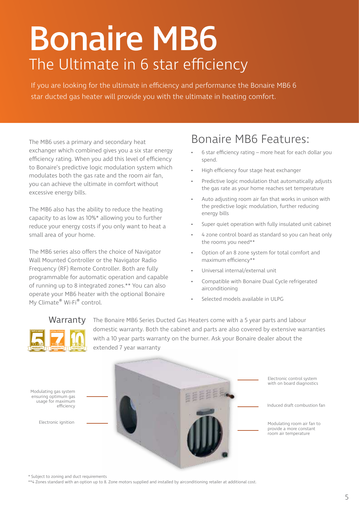# Bonaire MB6 The Ultimate in 6 star efficiency

If you are looking for the ultimate in efficiency and performance the Bonaire MB6 6 star ducted gas heater will provide you with the ultimate in heating comfort.

The MB6 uses a primary and secondary heat exchanger which combined gives you a six star energy efficiency rating. When you add this level of efficiency to Bonaire's predictive logic modulation system which modulates both the gas rate and the room air fan, you can achieve the ultimate in comfort without excessive energy bills.

The MB6 also has the ability to reduce the heating capacity to as low as 10%\* allowing you to further reduce your energy costs if you only want to heat a small area of your home.

The MB6 series also offers the choice of Navigator Wall Mounted Controller or the Navigator Radio Frequency (RF) Remote Controller. Both are fully programmable for automatic operation and capable of running up to 8 integrated zones.\*\* You can also operate your MB6 heater with the optional Bonaire My Climate® Wi-Fi® control.

### Bonaire MB6 Features:

- 6 star efficiency rating more heat for each dollar you spend.
- High efficiency four stage heat exchanger
- Predictive logic modulation that automatically adjusts the gas rate as your home reaches set temperature
- Auto adjusting room air fan that works in unison with the predictive logic modulation, further reducing energy bills
- Super quiet operation with fully insulated unit cabinet
- 4 zone control board as standard so you can heat only the rooms you need\*\*
- Option of an 8 zone system for total comfort and maximum efficiency\*\*
- Universal internal/external unit
- Compatible with Bonaire Dual Cycle refrigerated airconditioning
- Selected models available in ULPG

### Warranty PARTS & LABOUR **BURNER** OPTIONAL EXTENSION **BURNER**

The Bonaire MB6 Series Ducted Gas Heaters come with a 5 year parts and labour domestic warranty. Both the cabinet and parts are also covered by extensive warranties with a 10 year parts warranty on the burner. Ask your Bonaire dealer about the extended 7 year warranty



\* Subject to zoning and duct requirements

\*\*4 Zones standard with an option up to 8. Zone motors supplied and installed by airconditioning retailer at additional cost.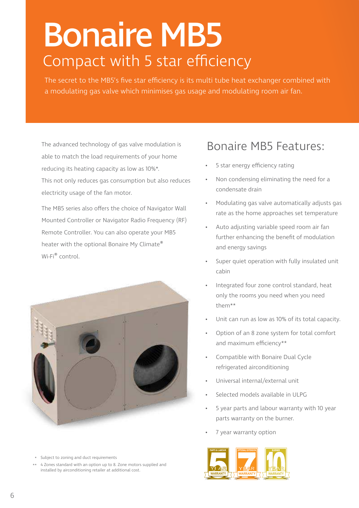## Bonaire MB5 Compact with 5 star efficiency

The secret to the MB5's five star efficiency is its multi tube heat exchanger combined with a modulating gas valve which minimises gas usage and modulating room air fan.

The advanced technology of gas valve modulation is able to match the load requirements of your home reducing its heating capacity as low as 10%\*. This not only reduces gas consumption but also reduces electricity usage of the fan motor.

The MB5 series also offers the choice of Navigator Wall Mounted Controller or Navigator Radio Frequency (RF) Remote Controller. You can also operate your MB5 heater with the optional Bonaire My Climate® Wi-Fi® control.



### Bonaire MB5 Features:

- 5 star energy efficiency rating
- Non condensing eliminating the need for a condensate drain
- Modulating gas valve automatically adjusts gas rate as the home approaches set temperature
- Auto adjusting variable speed room air fan further enhancing the benefit of modulation and energy savings
- Super quiet operation with fully insulated unit cabin
- Integrated four zone control standard, heat only the rooms you need when you need them\*\*
- Unit can run as low as 10% of its total capacity.
- Option of an 8 zone system for total comfort and maximum efficiency\*\*
- Compatible with Bonaire Dual Cycle refrigerated airconditioning
- Universal internal/external unit
- Selected models available in ULPG
- 5 year parts and labour warranty with 10 year parts warranty on the burner.
- 7 year warranty option



- Subject to zoning and duct requirements \*
- 4 Zones standard with an option up to 8. Zone motors supplied and installed by airconditioning retailer at additional cost. \*\*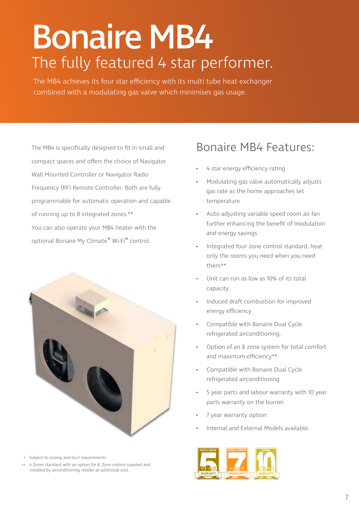# Bonaire MB4 The fully featured 4 star performer.

The MB4 achieves its four star efficiency with its multi tube heat exchanger combined with a modulating gas valve which minimises gas usage.

The MB4 is specifically designed to fit in small and compact spaces and offers the choice of Navigator Wall Mounted Controller or Navigator Radio Frequency (RF) Remote Controller. Both are fully programmable for automatic operation and capable of running up to 8 integrated zones.\*\* You can also operate your MB4 heater with the optional Bonaire My Climate® Wi-Fi® control.



- Subject to zoning and duct requirements \*
- 4 Zones standard with an option for 8. Zone motors supplied and \*\* installed by airconditioning retailer at additional cost.

### Bonaire MB4 Features:

- 4 star energy efficiency rating
- Modulating gas valve automatically adjusts gas rate as the home approaches set temperature
- Auto adjusting variable speed room air fan further enhancing the benefit of modulation and energy savings
- Integrated four zone control standard, heat only the rooms you need when you need them\*\*
- Unit can run as low as 10% of its total capacity.
- Induced draft combustion for improved energy efficiency
- Compatible with Bonaire Dual Cycle refrigerated airconditioning.
- Option of an 8 zone system for total comfort and maximum efficiency\*\*
- Compatible with Bonaire Dual Cycle refrigerated airconditioning
- 5 year parts and labour warranty with 10 year parts warranty on the burner.
- 7 year warranty option
- Internal and External Models available.

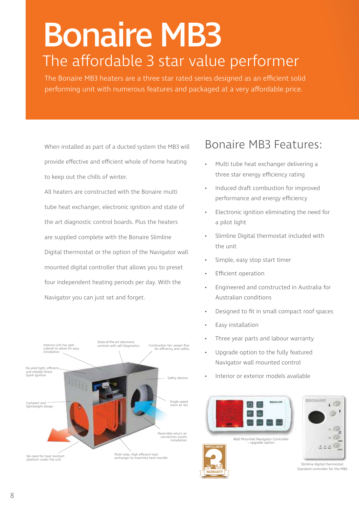# Bonaire MB3 The affordable 3 star value performer

The Bonaire MB3 heaters are a three star rated series designed as an efficient solid performing unit with numerous features and packaged at a very affordable price.

When installed as part of a ducted system the MB3 will provide effective and efficient whole of home heating to keep out the chills of winter.

All heaters are constructed with the Bonaire multi tube heat exchanger, electronic ignition and state of the art diagnostic control boards. Plus the heaters are supplied complete with the Bonaire Slimline Digital thermostat or the option of the Navigator wall mounted digital controller that allows you to preset four independent heating periods per day. With the Navigator you can just set and forget.



### Bonaire MB3 Features:

- Multi tube heat exchanger delivering a three star energy efficiency rating
- Induced draft combustion for improved performance and energy efficiency
- Electronic ignition eliminating the need for a pilot light
- Slimline Digital thermostat included with the unit
- Simple, easy stop start timer
- **Efficient operation**
- Engineered and constructed in Australia for Australian conditions
- Designed to fit in small compact roof spaces
- Easy installation
- Three year parts and labour warranty
- Upgrade option to the fully featured Navigator wall mounted control
- Interior or exterior models available



Wall Mounted Navigator Controller – upgrade option





Slimline digital thermostat. Standard controller for the MB3.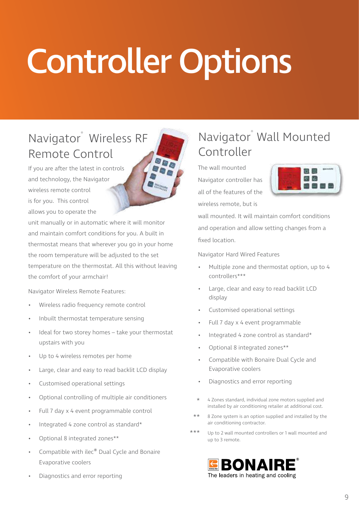# Controller Options

### Navigator® Wireless RF Remote Control

If you are after the latest in controls and technology, the Navigator wireless remote control is for you. This control allows you to operate the

unit manually or in automatic where it will monitor and maintain comfort conditions for you. A built in thermostat means that wherever you go in your home the room temperature will be adjusted to the set temperature on the thermostat. All this without leaving the comfort of your armchair!

Navigator Wireless Remote Features:

- Wireless radio frequency remote control
- Inbuilt thermostat temperature sensing
- Ideal for two storey homes take your thermostat upstairs with you
- Up to 4 wireless remotes per home
- Large, clear and easy to read backlit LCD display
- Customised operational settings
- Optional controlling of multiple air conditioners
- Full 7 day x 4 event programmable control
- Integrated 4 zone control as standard\*
- Optional 8 integrated zones\*\*
- Compatible with ilec® Dual Cycle and Bonaire Evaporative coolers
- Diagnostics and error reporting

### Navigator® Wall Mounted Controller

The wall mounted Navigator controller has all of the features of the wireless remote, but is



wall mounted. It will maintain comfort conditions and operation and allow setting changes from a fixed location.

Navigator Hard Wired Features

- Multiple zone and thermostat option, up to 4 controllers\*\*\*
- Large, clear and easy to read backlit LCD display
- Customised operational settings
- Full 7 day x 4 event programmable
- Integrated 4 zone control as standard\*
- Optional 8 integrated zones\*\*
- Compatible with Bonaire Dual Cycle and Evaporative coolers
- Diagnostics and error reporting
- 4 Zones standard, individual zone motors supplied and installed by air conditioning retailer at additional cost. \*
- 8 Zone system is an option supplied and installed by the air conditioning contractor. \*\*
- Up to 2 wall mounted controllers or 1 wall mounted and up to 3 remote. \*\*\*

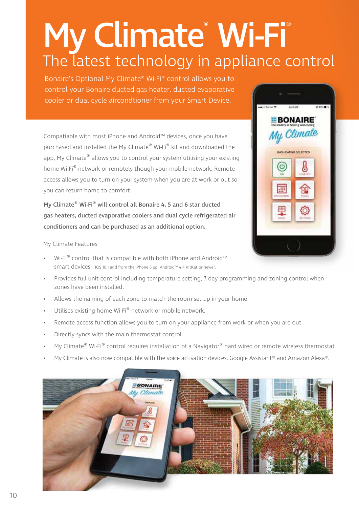# My Climate® Wi-Fi® The latest technology in appliance control

Bonaire's Optional My Climate® Wi-Fi® control allows you to control your Bonaire ducted gas heater, ducted evaporative cooler or dual cycle aircondtioner from your Smart Device.

Compatiable with most iPhone and Android™ devices, once you have purchased and installed the My Climate® Wi-Fi® kit and downloaded the app, My Climate® allows you to control your system utilising your existing home Wi-Fi® network or remotely though your mobile network. Remote access allows you to turn on your system when you are at work or out so you can return home to comfort.

My Climate® Wi-Fi® will control all Bonaire 4, 5 and 6 star ducted gas heaters, ducted evaporative coolers and dual cycle refrigerated air conditioners and can be purchased as an additional option.

My Climate Features

- Wi-Fi® control that is compatible with both iPhone and Android™ smart devices - IOS 10.1 and from the iPhone 5 up, Android™ 4.4 KitKat or newer.
- Provides full unit control including temperature setting, 7 day programming and zoning control when zones have been installed.
- Allows the naming of each zone to match the room set up in your home
- Utilises existing home Wi-Fi® network or mobile network.
- Remote access function allows you to turn on your appliance from work or when you are out
- Directly syncs with the main thermostat control
- My Climate® Wi-Fi® control requires installation of a Navigator® hard wired or remote wireless thermostat
- My Climate is also now compatible with the voice activation devices, Google Assistant® and Amazon Alexa®.



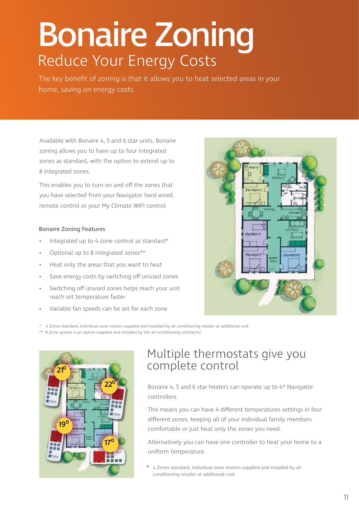# Bonaire Zoning Reduce Your Energy Costs

The key benefit of zoning is that it allows you to heat selected areas in your home, saving on energy costs.

Available with Bonaire 4, 5 and 6 star units, Bonaire zoning allows you to have up to four integrated zones as standard, with the option to extend up to 8 integrated zones.

This enables you to turn on and off the zones that you have selected from your Navigator hard wired, remote control or your My Climate WIFI control.

#### Bonaire Zoning Features

- Integrated up to 4 zone control as standard\*
- Optional up to 8 integrated zones\*\*
- Heat only the areas that you want to heat
- Save energy costs by switching off unused zones
- Switching off unused zones helps reach your unit reach set temperature faster
- Variable fan speeds can be set for each zone



\* 4 Zones standard, individual zone motors supplied and installed by air conditioning retailer at additional cost.

\*\* 8 Zone system is an option supplied and installed by the air conditioning contractor.



### Multiple thermostats give you complete control

Bonaire 4, 5 and 6 star heaters can operate up to 4\* Navigator controllers.

This means you can have 4 different temperatures settings in four different zones, keeping all of your individual family members comfortable or just heat only the zones you need.

Alternatively you can have one controller to heat your home to a uniform temperature.

 $*$  4 Zones standard, individual zone motors supplied and installed by air conditioning retailer at additional cost.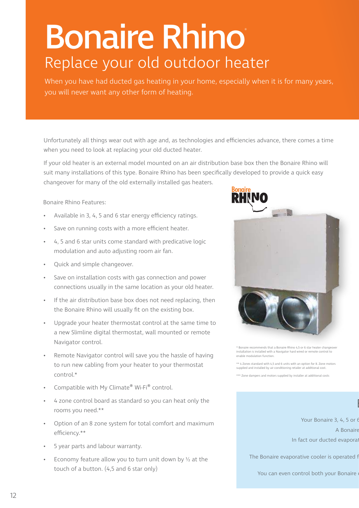# Bonaire Rhino® Replace your old outdoor heater

When you have had ducted gas heating in your home, especially when it is for many years, you will never want any other form of heating.

Unfortunately all things wear out with age and, as technologies and efficiencies advance, there comes a time when you need to look at replacing your old ducted heater.

If your old heater is an external model mounted on an air distribution base box then the Bonaire Rhino will suit many installations of this type. Bonaire Rhino has been specifically developed to provide a quick easy changeover for many of the old externally installed gas heaters.

Bonaire Rhino Features:

- Available in 3, 4, 5 and 6 star energy efficiency ratings.
- Save on running costs with a more efficient heater.
- 4, 5 and 6 star units come standard with predicative logic modulation and auto adjusting room air fan.
- Quick and simple changeover.
- Save on installation costs with gas connection and power connections usually in the same location as your old heater.
- If the air distribution base box does not need replacing, then the Bonaire Rhino will usually fit on the existing box.
- Upgrade your heater thermostat control at the same time to a new Slimline digital thermostat, wall mounted or remote Navigator control.
- Remote Navigator control will save you the hassle of having to run new cabling from your heater to your thermostat control.\*
- Compatible with My Climate® Wi-Fi® control.
- 4 zone control board as standard so you can heat only the rooms you need.\*\*
- Option of an 8 zone system for total comfort and maximum efficiency.\*\*
- 5 year parts and labour warranty.
- Economy feature allow you to turn unit down by  $\frac{1}{2}$  at the touch of a button. (4,5 and 6 star only)



\* Bonaire recommends that a Bonaire Rhino 4,5 or 6 star heater changeover installation is installed with a Navigator hard wired or remote control to enable modulation function.

\*\* 4 Zones standard with 4,5 and 6 units with an option for 8. Zone motors supplied and installed by air conditioning retailer at additional cost.

\*\*\* Zone dampers and motors supplied by installer at additional costs

Your Bonaire 3, 4, 5 or  $\ell$ A Bonaire In fact our ducted evaporative

 $\overline{\phantom{a}}$ 

The Bonaire evaporative cooler is operated f

You can even control both your Bonaire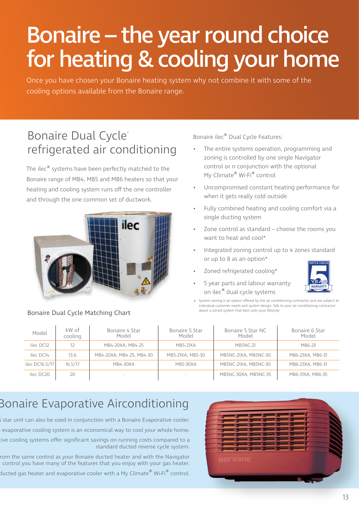## Bonaire – the year round choice for heating & cooling your home

Once you have chosen your Bonaire heating system why not combine it with some of the cooling options available from the Bonaire range.

### Bonaire Dual Cycle® refrigerated air conditioning

The ilec® systems have been perfectly matched to the Bonaire range of MB4, MB5 and MB6 heaters so that your heating and cooling system runs off the one controller and through the one common set of ductwork.



#### Bonaire Dual Cycle Matching Chart

Bonaire ilec® Dual Cycle Features:

- The entire systems operation, programming and zoning is controlled by one single Navigator control or n conjunction with the optional My Climate® Wi-Fi® control
- Uncompromised constant heating performance for when it gets really cold outside
- Fully combined heating and cooling comfort via a single ducting system
- Zone control as standard choose the rooms you want to heat and cool\*
- Integrated zoning control up to 4 zones standard or up to 8 as an option\*
- Zoned refrigerated cooling\*



\* System zoning is an option offered by the air conditioning contractor and are subject to individual customer needs and system design. Talk to your air conditioning contractor about a zoned system that best suits your lifestyle.

| Model          | kW of<br>cooling | Bonaire 4 Star<br>Model  | Bonaire 5 Star<br>Model | Bonaire 5 Star NC<br>Model | Bonaire 6 Star<br>Model |
|----------------|------------------|--------------------------|-------------------------|----------------------------|-------------------------|
| ilec DC12      | 12               | MB4-20XA, MB4-25         | <b>MB5-21XA</b>         | <b>MB5NC-21</b>            | MB6-23                  |
| ilec DC14      | 13.6             | MB4-20XA, MB4-25, MB4-30 | MB5-21XA, MB5-30        | MB5NC-21XA, MB5NC-30       | MB6-23XA, MB6-31        |
| ilec DC16.5/17 | 16.5/17          | MB4-30XA                 | <b>MB5-30XA</b>         | MB5NC-21XA, MB5NC-30       | MB6-23XA, MB6-31        |
| ilec DC20      | 20               | $\overline{\phantom{a}}$ |                         | MB5NC-30XA, MB5NC-35       | MB6-31XA, MB6-35        |

### Bonaire Evaporative Airconditioning

 $\delta$  star unit can also be used in conjunction with a Bonaire Evaporative cooler.

evaporative cooling system is an economical way to cool your whole home.

tive cooling systems offer significant savings on running costs compared to a standard ducted reverse cycle system.

rom the same control as your Bonaire ducted heater and with the Navigator control you have many of the features that you enjoy with your gas heater.

ducted gas heater and evaporative cooler with a My Climate $^\circledast$  Wi-Fi $^\circledast$  control.

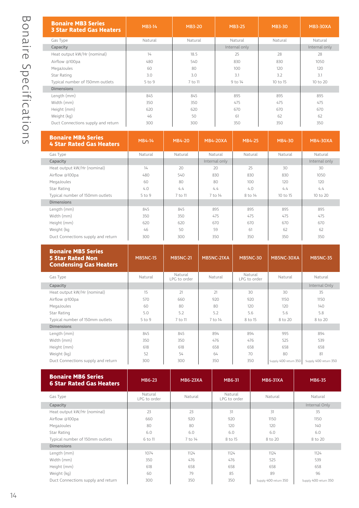| <b>Bonaire MB3 Series</b><br><b>3 Star Rated Gas Heaters</b> | <b>MB3-14</b> | <b>MB3-20</b> | <b>MB3-25</b> | <b>MB3-30</b> | <b>MB3-30XA</b> |
|--------------------------------------------------------------|---------------|---------------|---------------|---------------|-----------------|
| Gas Type                                                     | Natural       | Natural       | Natural       | Natural       | Natural         |
| Capacity                                                     |               |               | Internal only |               | Internal only   |
| Heat output kW/Hr (nominal)                                  | 14            | 18.5          | 25            | 28            | 28              |
| Airflow @100pa                                               | 480           | 540           | 830           | 830           | 1050            |
| MegaJoules                                                   | 60            | 80            | 100           | 120           | 120             |
| Star Rating                                                  | 3.0           | 3.0           | 3.1           | 3.2           | 3.1             |
| Typical number of 150mm outlets                              | $5$ to $9$    | 7 to 11       | 9 to 14       | 10 to 15      | 10 to 20        |
| <b>Dimensions</b>                                            |               |               |               |               |                 |
| Length (mm)                                                  | 845           | 845           | 895           | 895           | 895             |
| Width (mm)                                                   | 350           | 350           | 475           | 475           | 475             |
| Height (mm)                                                  | 620           | 620           | 670           | 670           | 670             |
| Weight (kg)                                                  | 46            | 50            | 61            | 62            | 62              |
| Duct Connections supply and return                           | 300           | 300           | 350           | 350           | 350             |

| <b>Bonaire MB4 Series</b><br>4 Star Rated Gas Heaters | MB4-14     | MB4-20  | <b>MB4-20XA</b> | MB4-25  | <b>MB4-30</b> | <b>MB4-30XA</b> |
|-------------------------------------------------------|------------|---------|-----------------|---------|---------------|-----------------|
| Gas Type                                              | Natural    | Natural | Natural         | Natural | Natural       | Natural         |
| Capacity                                              |            |         | Internal only   |         |               | Internal only   |
| Heat output kW/Hr (nominal)                           | 14         | 20      | 20              | 25      | 30            | 30              |
| Airflow @100pa                                        | 480        | 540     | 830             | 830     | 830           | 1050            |
| MegaJoules                                            | 60         | 80      | 80              | 100     | 120           | 120             |
| Star Rating                                           | 4.0        | 4.4     | 4.4             | 4.0     | 4.4           | 4.4             |
| Typical number of 150mm outlets                       | $5$ to $9$ | 7 to 11 | 7 to 14         | 8 to 14 | 10 to 15      | 10 to 20        |
| <b>Dimensions</b>                                     |            |         |                 |         |               |                 |
| Length (mm)                                           | 845        | 845     | 895             | 895     | 895           | 895             |
| Width (mm)                                            | 350        | 350     | 475             | 475     | 475           | 475             |
| Height (mm)                                           | 620        | 620     | 670             | 670     | 670           | 670             |
| Weight (kg                                            | 46         | 50      | 59              | 61      | 62            | 62              |
| Duct Connections supply and return                    | 300        | 300     | 350             | 350     | 350           | 350             |

| <b>Bonaire MB5 Series</b><br><b>5 Star Rated Non</b><br><b>Condensing Gas Heaters</b> | <b>MB5NC-15</b> | <b>MB5NC-21</b>         | MB5NC-21XA | <b>MB5NC-30</b>         | MB5NC-30XA            | <b>MB5NC-35</b>       |
|---------------------------------------------------------------------------------------|-----------------|-------------------------|------------|-------------------------|-----------------------|-----------------------|
| Gas Type                                                                              | Natural         | Natural<br>LPG to order | Natural    | Natural<br>LPG to order | Natural               | Natural               |
| Capacity                                                                              |                 |                         |            |                         |                       | Internal Only         |
| Heat output kW/Hr (nominal)                                                           | 15              | 21                      | 21         | 30                      | 30                    | 35                    |
| Airflow @100pa                                                                        | 570             | 660                     | 920        | 920                     | 1150                  | 1150                  |
| MegaJoules                                                                            | 60              | 80                      | 80         | 120                     | 120                   | 140                   |
| Star Rating                                                                           | 5.0             | 5.2                     | 5.2        | 5.6                     | 5.6                   | 5.8                   |
| Typical number of 150mm outlets                                                       | $5$ to $9$      | 7 to 11                 | 7 to 14    | 8 to 15                 | 8 to 20               | 8 to 20               |
| <b>Dimensions</b>                                                                     |                 |                         |            |                         |                       |                       |
| Length (mm)                                                                           | 845             | 845                     | 894        | 894                     | 995                   | 894                   |
| Width (mm)                                                                            | 350             | 350                     | 476        | 476                     | 525                   | 539                   |
| Height (mm)                                                                           | 618             | 618                     | 658        | 658                     | 658                   | 658                   |
| Weight (kg)                                                                           | 52              | 54                      | 64         | 70                      | 80                    | 81                    |
| Duct Connections supply and return                                                    | 300             | 300                     | 350        | 350                     | Supply 400 return 350 | Supply 400 return 350 |

| <b>Bonaire MB6 Series</b><br><b>6 Star Rated Gas Heaters</b> | MB6-23                  | <b>MB6-23XA</b> | MB6-31                  | <b>MB6-31XA</b>       | <b>MB6-35</b>         |
|--------------------------------------------------------------|-------------------------|-----------------|-------------------------|-----------------------|-----------------------|
| Gas Type                                                     | Natural<br>LPG to order | Natural         | Natural<br>LPG to order | Natural               | Natural               |
| Capacity                                                     |                         |                 |                         |                       | Internal Only         |
| Heat output kW/Hr (nominal)                                  | 23                      | 23              | 31                      | 31                    | 35                    |
| Airflow @100pa                                               | 660                     | 920             | 920                     | 1150                  | 1150                  |
| MegaJoules                                                   | 80                      | 80              | 120                     | 120                   | 140                   |
| Star Rating                                                  | 6.0                     | 6.0             | 6.0                     | 6.0                   | 6.0                   |
| Typical number of 150mm outlets                              | 6 to 11                 | 7 to 14         | 8 to 15                 | 8 to 20               | 8 to 20               |
| <b>Dimensions</b>                                            |                         |                 |                         |                       |                       |
| Length (mm)                                                  | 1074                    | 1124            | 1124                    | 1124                  | 1124                  |
| Width (mm)                                                   | 350                     | 476             | 476                     | 525                   | 539                   |
| Height (mm)                                                  | 618                     | 658             | 658                     | 658                   | 658                   |
| Weight (kg)                                                  | 60                      | 79              | 85                      | 89                    | 96                    |
| Duct Connections supply and return                           | 300                     | 350             | 350                     | Supply 400 return 350 | Supply 400 return 350 |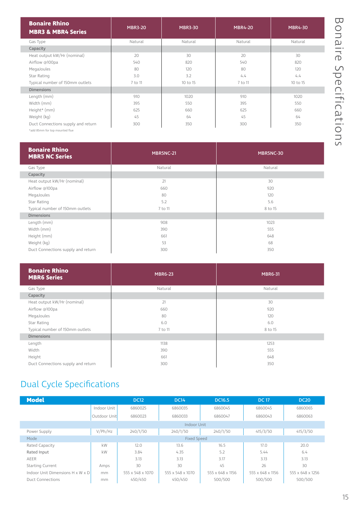| 刀                              |
|--------------------------------|
| $\overline{\mathcal{L}}$       |
|                                |
| Гd                             |
| ٠                              |
| 7<br>$\bigcirc$                |
|                                |
| $\overline{\mathsf{C}}$<br>∩   |
| $\overline{\zeta}$<br>⋾        |
| $\overline{a}$<br>C            |
| $\overline{\mathcal{L}}$       |
| ٠<br>י<br>$\ddot{\phantom{0}}$ |
| $\frac{1}{2}$<br>┐             |
| മ                              |
| $\overline{+}$                 |
| $rac{1}{3}$                    |
| $\overline{\phantom{0}}$       |
| 2<br>$\frac{1}{\sqrt{2}}$      |
| ገ                              |

| <b>Bonaire Rhino</b><br><b>MBR3 &amp; MBR4 Series</b> | <b>MBR3-20</b> | <b>MBR3-30</b> | <b>MBR4-20</b> | <b>MBR4-30</b> |
|-------------------------------------------------------|----------------|----------------|----------------|----------------|
| Gas Type                                              | Natural        | Natural        | Natural        | Natural        |
| Capacity                                              |                |                |                |                |
| Heat output kW/Hr (nominal)                           | 20             | 30             | 20             | 30             |
| Airflow @100pa                                        | 540            | 820            | 540            | 820            |
| MegaJoules                                            | 80             | 120            | 80             | 120            |
| Star Rating                                           | 3.0            | 3.2            | 4.4            | 4.4            |
| Typical number of 150mm outlets                       | 7 to 11        | 10 to 15       | 7 to 11        | 10 to 15       |
| <b>Dimensions</b>                                     |                |                |                |                |
| Length (mm)                                           | 910            | 1020           | 910            | 1020           |
| Width (mm)                                            | 395            | 550            | 395            | 550            |
| Height* (mm)                                          | 625            | 660            | 625            | 660            |
| Weight (kg)                                           | 45             | 64             | 45             | 64             |
| Duct Connections supply and return                    | 300            | 350            | 300            | 350            |

\*add 85mm for top mounted flue

| <b>Bonaire Rhino</b><br><b>MBR5 NC Series</b> | MBR5NC-21 | MBR5NC-30 |  |  |
|-----------------------------------------------|-----------|-----------|--|--|
| Gas Type                                      | Natural   | Natural   |  |  |
| Capacity                                      |           |           |  |  |
| Heat output kW/Hr (nominal)                   | 21        | 30        |  |  |
| Airflow @100pa                                | 660       | 920       |  |  |
| MegaJoules                                    | 80        | 120       |  |  |
| Star Rating                                   | 5.2       | 5.6       |  |  |
| Typical number of 150mm outlets               | 7 to 11   | 8 to 15   |  |  |
| <b>Dimensions</b>                             |           |           |  |  |
| Length (mm)                                   | 908       | 1023      |  |  |
| Width (mm)                                    | 390       | 555       |  |  |
| Height (mm)                                   | 661       | 648       |  |  |
| Weight (kg)                                   | 53        | 68        |  |  |
| Duct Connections supply and return            | 300       | 350       |  |  |

| <b>Bonaire Rhino</b><br><b>MBR6 Series</b> | <b>MBR6-23</b> | <b>MBR6-31</b> |  |  |
|--------------------------------------------|----------------|----------------|--|--|
| Gas Type                                   | Natural        | Natural        |  |  |
| Capacity                                   |                |                |  |  |
| Heat output kW/Hr (nominal)                | 21             | 30             |  |  |
| Airflow @100pa                             | 660            | 920            |  |  |
| MegaJoules                                 | 80             | 120            |  |  |
| Star Rating                                | 6.0            | 6.0            |  |  |
| Typical number of 150mm outlets            | 7 to 11        | 8 to 15        |  |  |
| <b>Dimensions</b>                          |                |                |  |  |
| Length                                     | 1138           | 1253           |  |  |
| Width                                      | 390            | 555            |  |  |
| Height                                     | 661            | 648            |  |  |
| Duct Connections supply and return         | 300            | 350            |  |  |

### Dual Cycle Specifications

| <b>Model</b>                                 |                    | <b>DC12</b>      | <b>DC14</b>      | <b>DC16.5</b>    | <b>DC 17</b>     | <b>DC20</b>      |  |
|----------------------------------------------|--------------------|------------------|------------------|------------------|------------------|------------------|--|
|                                              | Indoor Unit        | 6860025          | 6860035          | 6860045          | 6860045          | 6860065          |  |
|                                              | Outdoor Unit       | 6860023          | 6860033          | 6860047          | 6860043          | 6860063          |  |
|                                              |                    |                  | Indoor Unit      |                  |                  |                  |  |
| Power Supply                                 | V/Ph/Hz            | 240/1/50         | 240/1/50         | 240/1/50         | 415/3/50         | 415/3/50         |  |
| Mode                                         | <b>Fixed Speed</b> |                  |                  |                  |                  |                  |  |
| Rated Capacity                               | kW                 | 12.0             | 13.6             | 16.5             | 17.0             | 20.0             |  |
| Rated Input                                  | kW                 | 3.84             | 4.35             | 5.2              | 5.44             | 6.4              |  |
| AEER                                         |                    | 3.13             | 3.13             | 3.17             | 3.13             | 3.13             |  |
| <b>Starting Current</b>                      | Amps               | 30               | 30               | 45               | 26               | 30               |  |
| Indoor Unit Dimensions $H \times W \times D$ | mm                 | 555 x 548 x 1070 | 555 x 548 x 1070 | 555 x 648 x 1156 | 555 x 648 x 1156 | 555 x 648 x 1256 |  |
| <b>Duct Connections</b>                      | mm                 | 450/450          | 450/450          | 500/500          | 500/500          | 500/500          |  |